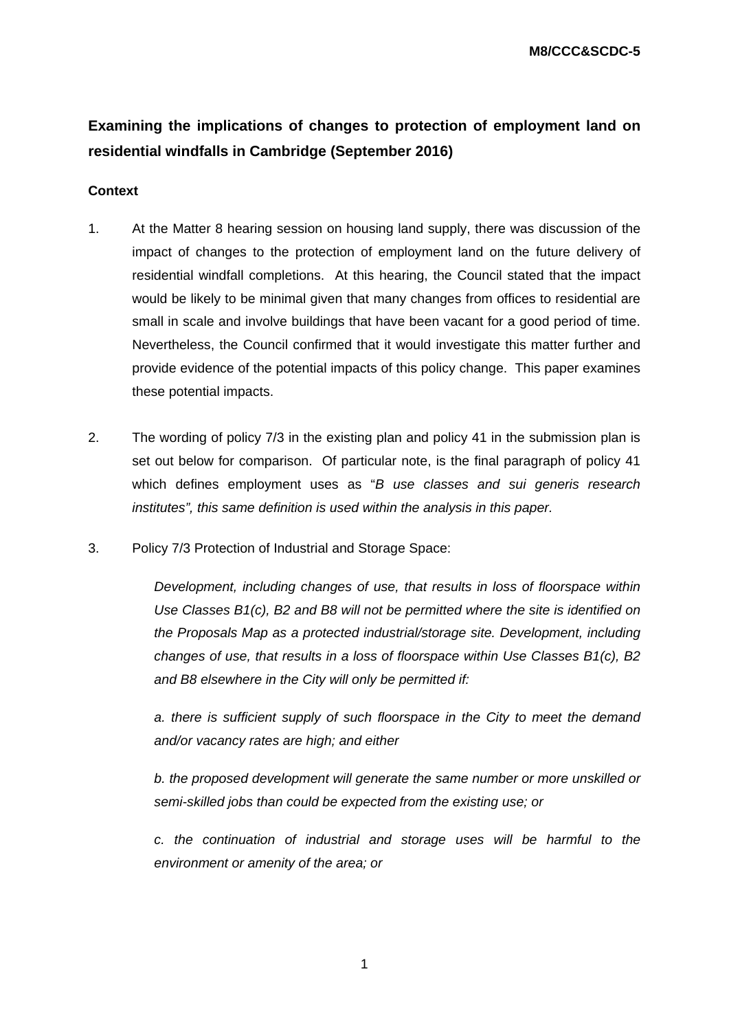**M8/CCC&SCDC-5** 

# **Examining the implications of changes to protection of employment land on residential windfalls in Cambridge (September 2016)**

# **Context**

- 1. At the Matter 8 hearing session on housing land supply, there was discussion of the impact of changes to the protection of employment land on the future delivery of residential windfall completions. At this hearing, the Council stated that the impact would be likely to be minimal given that many changes from offices to residential are small in scale and involve buildings that have been vacant for a good period of time. Nevertheless, the Council confirmed that it would investigate this matter further and provide evidence of the potential impacts of this policy change. This paper examines these potential impacts.
- 2. The wording of policy 7/3 in the existing plan and policy 41 in the submission plan is set out below for comparison. Of particular note, is the final paragraph of policy 41 which defines employment uses as "*B use classes and sui generis research institutes", this same definition is used within the analysis in this paper.*
- 3. Policy 7/3 Protection of Industrial and Storage Space:

*Development, including changes of use, that results in loss of floorspace within Use Classes B1(c), B2 and B8 will not be permitted where the site is identified on the Proposals Map as a protected industrial/storage site. Development, including changes of use, that results in a loss of floorspace within Use Classes B1(c), B2 and B8 elsewhere in the City will only be permitted if:* 

*a. there is sufficient supply of such floorspace in the City to meet the demand and/or vacancy rates are high; and either* 

*b. the proposed development will generate the same number or more unskilled or semi-skilled jobs than could be expected from the existing use; or* 

*c. the continuation of industrial and storage uses will be harmful to the environment or amenity of the area; or*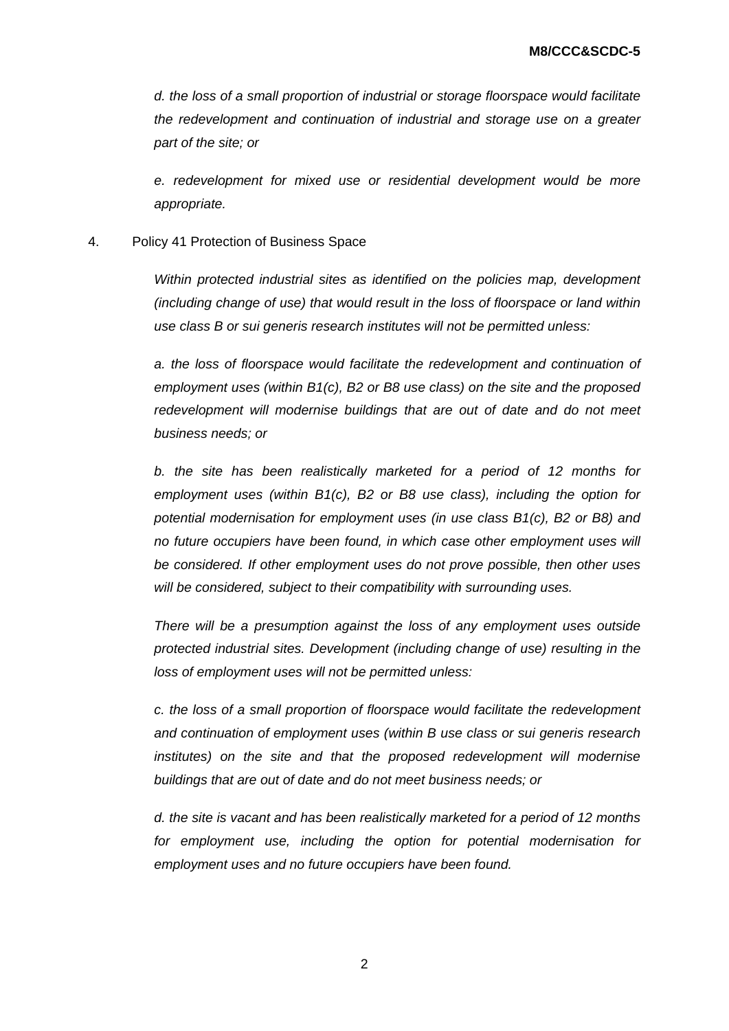*d. the loss of a small proportion of industrial or storage floorspace would facilitate the redevelopment and continuation of industrial and storage use on a greater part of the site; or* 

*e. redevelopment for mixed use or residential development would be more appropriate.* 

#### 4. Policy 41 Protection of Business Space

*Within protected industrial sites as identified on the policies map, development (including change of use) that would result in the loss of floorspace or land within use class B or sui generis research institutes will not be permitted unless:* 

*a. the loss of floorspace would facilitate the redevelopment and continuation of employment uses (within B1(c), B2 or B8 use class) on the site and the proposed redevelopment will modernise buildings that are out of date and do not meet business needs; or* 

*b. the site has been realistically marketed for a period of 12 months for employment uses (within B1(c), B2 or B8 use class), including the option for potential modernisation for employment uses (in use class B1(c), B2 or B8) and no future occupiers have been found, in which case other employment uses will be considered. If other employment uses do not prove possible, then other uses will be considered, subject to their compatibility with surrounding uses.* 

*There will be a presumption against the loss of any employment uses outside protected industrial sites. Development (including change of use) resulting in the loss of employment uses will not be permitted unless:* 

*c. the loss of a small proportion of floorspace would facilitate the redevelopment and continuation of employment uses (within B use class or sui generis research institutes) on the site and that the proposed redevelopment will modernise buildings that are out of date and do not meet business needs; or* 

*d. the site is vacant and has been realistically marketed for a period of 12 months for employment use, including the option for potential modernisation for employment uses and no future occupiers have been found.*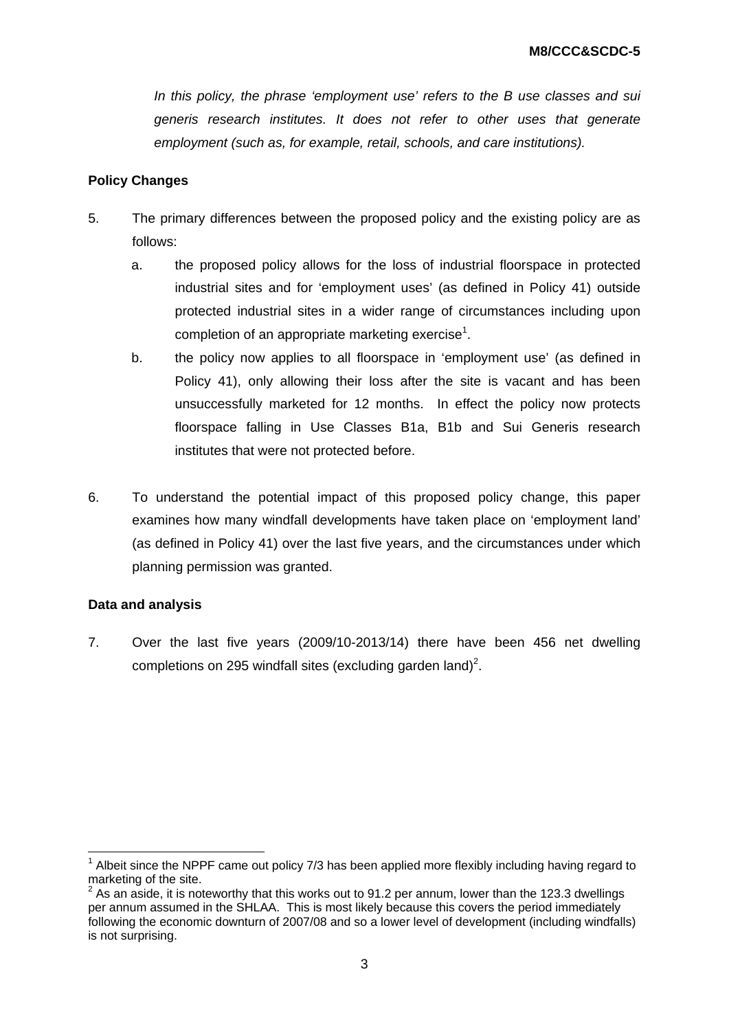*In this policy, the phrase 'employment use' refers to the B use classes and sui generis research institutes. It does not refer to other uses that generate employment (such as, for example, retail, schools, and care institutions).* 

### **Policy Changes**

- 5. The primary differences between the proposed policy and the existing policy are as follows:
	- a. the proposed policy allows for the loss of industrial floorspace in protected industrial sites and for 'employment uses' (as defined in Policy 41) outside protected industrial sites in a wider range of circumstances including upon completion of an appropriate marketing exercise<sup>1</sup>.
	- b. the policy now applies to all floorspace in 'employment use' (as defined in Policy 41), only allowing their loss after the site is vacant and has been unsuccessfully marketed for 12 months. In effect the policy now protects floorspace falling in Use Classes B1a, B1b and Sui Generis research institutes that were not protected before.
- 6. To understand the potential impact of this proposed policy change, this paper examines how many windfall developments have taken place on 'employment land' (as defined in Policy 41) over the last five years, and the circumstances under which planning permission was granted.

#### **Data and analysis**

1

7. Over the last five years (2009/10-2013/14) there have been 456 net dwelling completions on 295 windfall sites (excluding garden land)<sup>2</sup>.

 $1$  Albeit since the NPPF came out policy 7/3 has been applied more flexibly including having regard to marketing of the site.

 $2^{2}$  As an aside, it is noteworthy that this works out to 91.2 per annum, lower than the 123.3 dwellings per annum assumed in the SHLAA. This is most likely because this covers the period immediately following the economic downturn of 2007/08 and so a lower level of development (including windfalls) is not surprising.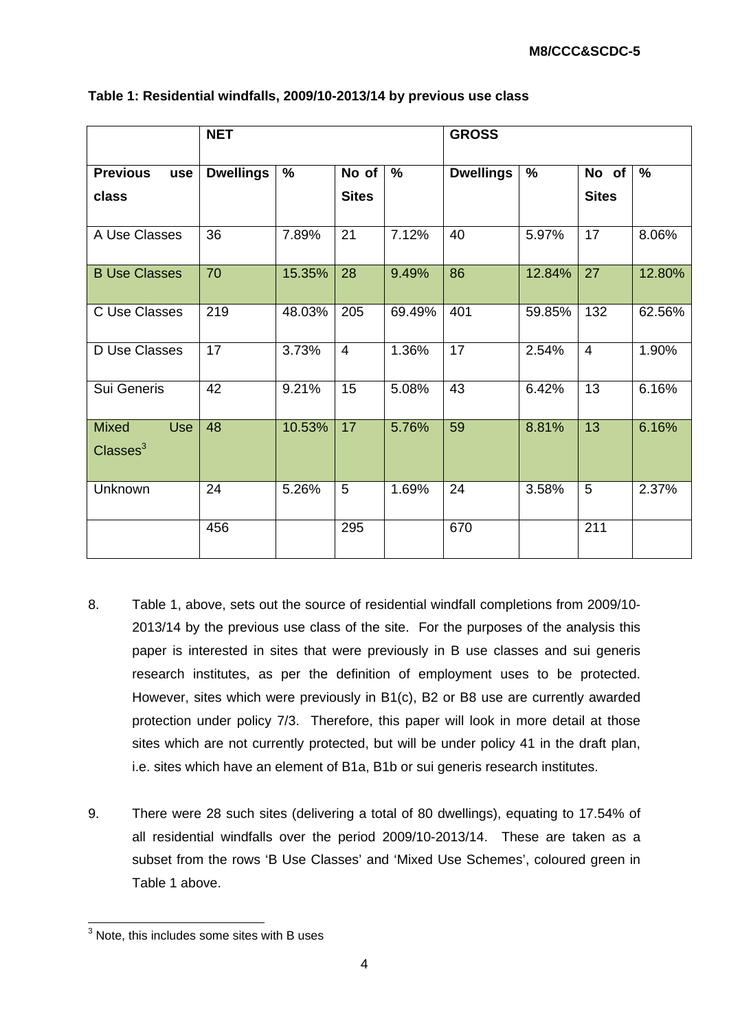|                                                  | <b>NET</b>       |        |                | <b>GROSS</b>  |                  |               |                |        |
|--------------------------------------------------|------------------|--------|----------------|---------------|------------------|---------------|----------------|--------|
| <b>Previous</b><br>use                           | <b>Dwellings</b> | $\%$   | No of          | $\frac{9}{6}$ | <b>Dwellings</b> | $\frac{9}{6}$ | No of          | %      |
| class                                            |                  |        | <b>Sites</b>   |               |                  |               | <b>Sites</b>   |        |
| A Use Classes                                    | 36               | 7.89%  | 21             | 7.12%         | 40               | 5.97%         | 17             | 8.06%  |
| <b>B Use Classes</b>                             | 70               | 15.35% | 28             | 9.49%         | 86               | 12.84%        | 27             | 12.80% |
| C Use Classes                                    | 219              | 48.03% | 205            | 69.49%        | 401              | 59.85%        | 132            | 62.56% |
| D Use Classes                                    | 17               | 3.73%  | $\overline{4}$ | 1.36%         | 17               | 2.54%         | $\overline{4}$ | 1.90%  |
| Sui Generis                                      | 42               | 9.21%  | 15             | 5.08%         | 43               | 6.42%         | 13             | 6.16%  |
| <b>Mixed</b><br><b>Use</b><br>$\text{Classes}^3$ | 48               | 10.53% | 17             | 5.76%         | 59               | 8.81%         | 13             | 6.16%  |
| Unknown                                          | 24               | 5.26%  | 5              | 1.69%         | 24               | 3.58%         | 5              | 2.37%  |
|                                                  | 456              |        | 295            |               | 670              |               | 211            |        |

#### **Table 1: Residential windfalls, 2009/10-2013/14 by previous use class**

- 8. Table 1, above, sets out the source of residential windfall completions from 2009/10- 2013/14 by the previous use class of the site. For the purposes of the analysis this paper is interested in sites that were previously in B use classes and sui generis research institutes, as per the definition of employment uses to be protected. However, sites which were previously in B1(c), B2 or B8 use are currently awarded protection under policy 7/3. Therefore, this paper will look in more detail at those sites which are not currently protected, but will be under policy 41 in the draft plan, i.e. sites which have an element of B1a, B1b or sui generis research institutes.
- 9. There were 28 such sites (delivering a total of 80 dwellings), equating to 17.54% of all residential windfalls over the period 2009/10-2013/14. These are taken as a subset from the rows 'B Use Classes' and 'Mixed Use Schemes', coloured green in Table 1 above.

 3 Note, this includes some sites with B uses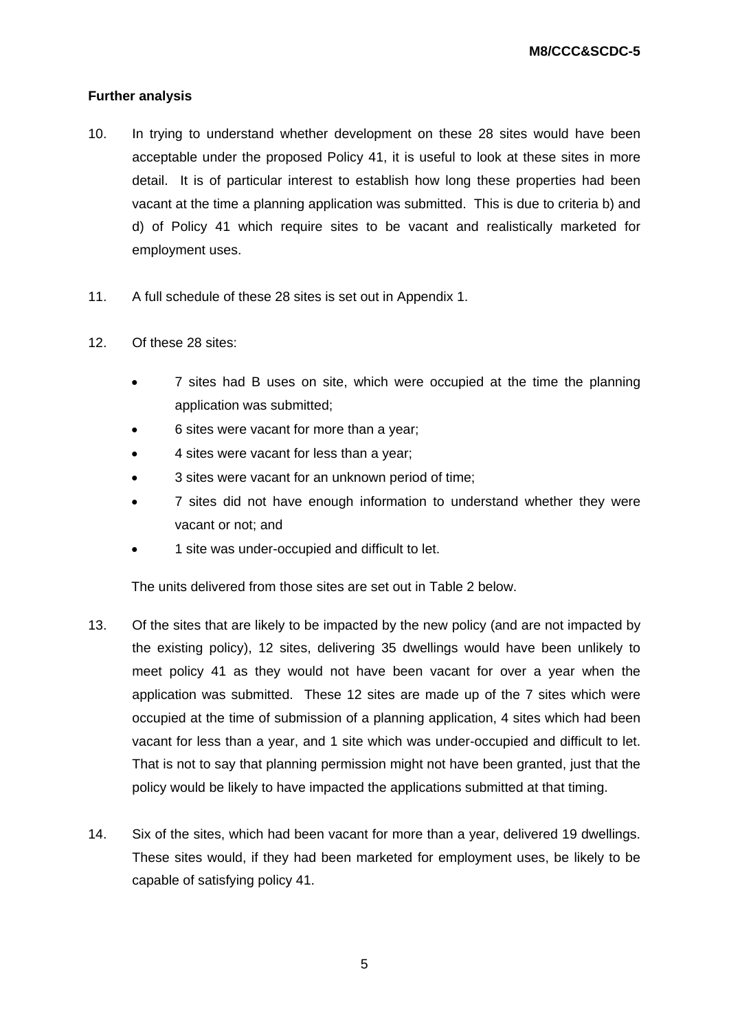# **Further analysis**

- 10. In trying to understand whether development on these 28 sites would have been acceptable under the proposed Policy 41, it is useful to look at these sites in more detail. It is of particular interest to establish how long these properties had been vacant at the time a planning application was submitted. This is due to criteria b) and d) of Policy 41 which require sites to be vacant and realistically marketed for employment uses.
- 11. A full schedule of these 28 sites is set out in Appendix 1.
- 12. Of these 28 sites:
	- 7 sites had B uses on site, which were occupied at the time the planning application was submitted;
	- 6 sites were vacant for more than a year;
	- 4 sites were vacant for less than a year;
	- 3 sites were vacant for an unknown period of time;
	- 7 sites did not have enough information to understand whether they were vacant or not; and
	- 1 site was under-occupied and difficult to let.

The units delivered from those sites are set out in Table 2 below.

- 13. Of the sites that are likely to be impacted by the new policy (and are not impacted by the existing policy), 12 sites, delivering 35 dwellings would have been unlikely to meet policy 41 as they would not have been vacant for over a year when the application was submitted. These 12 sites are made up of the 7 sites which were occupied at the time of submission of a planning application, 4 sites which had been vacant for less than a year, and 1 site which was under-occupied and difficult to let. That is not to say that planning permission might not have been granted, just that the policy would be likely to have impacted the applications submitted at that timing.
- 14. Six of the sites, which had been vacant for more than a year, delivered 19 dwellings. These sites would, if they had been marketed for employment uses, be likely to be capable of satisfying policy 41.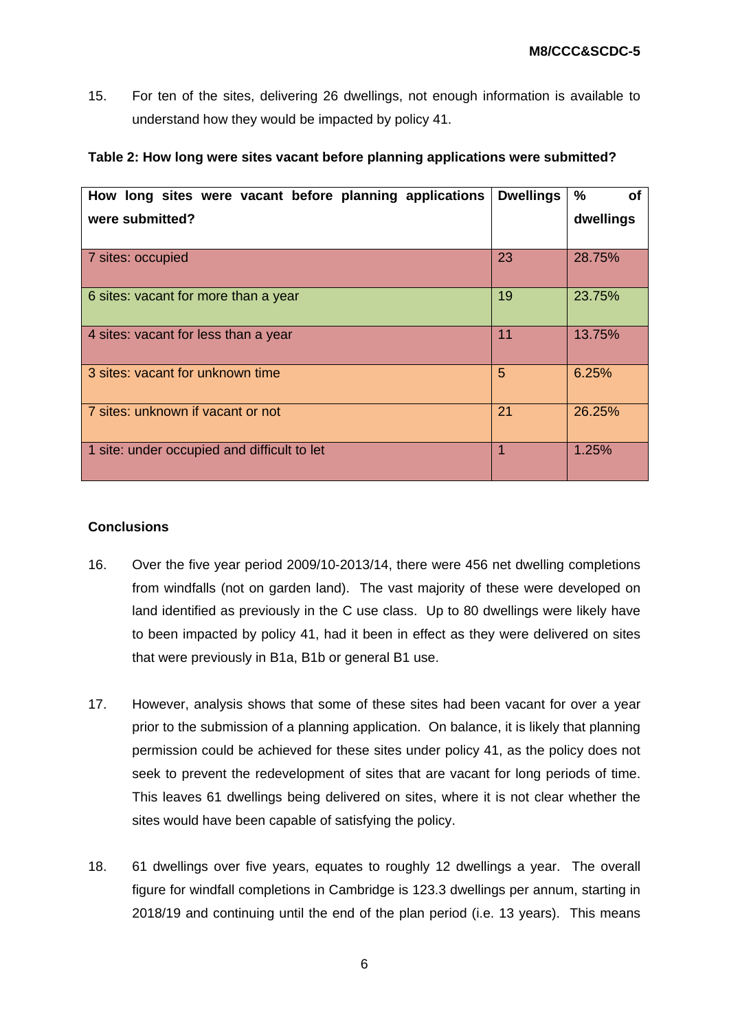15. For ten of the sites, delivering 26 dwellings, not enough information is available to understand how they would be impacted by policy 41.

| How long sites were vacant before planning applications | <b>Dwellings</b> | $\frac{0}{0}$<br><b>of</b> |
|---------------------------------------------------------|------------------|----------------------------|
| were submitted?                                         |                  | dwellings                  |
|                                                         |                  |                            |
| 7 sites: occupied                                       | 23               | 28.75%                     |
| 6 sites: vacant for more than a year                    | 19               | 23.75%                     |
| 4 sites: vacant for less than a year                    | 11               | 13.75%                     |
| 3 sites: vacant for unknown time                        | 5                | 6.25%                      |
| 7 sites: unknown if vacant or not                       | 21               | 26.25%                     |
| 1 site: under occupied and difficult to let             | 1                | 1.25%                      |

#### **Table 2: How long were sites vacant before planning applications were submitted?**

## **Conclusions**

- 16. Over the five year period 2009/10-2013/14, there were 456 net dwelling completions from windfalls (not on garden land). The vast majority of these were developed on land identified as previously in the C use class. Up to 80 dwellings were likely have to been impacted by policy 41, had it been in effect as they were delivered on sites that were previously in B1a, B1b or general B1 use.
- 17. However, analysis shows that some of these sites had been vacant for over a year prior to the submission of a planning application. On balance, it is likely that planning permission could be achieved for these sites under policy 41, as the policy does not seek to prevent the redevelopment of sites that are vacant for long periods of time. This leaves 61 dwellings being delivered on sites, where it is not clear whether the sites would have been capable of satisfying the policy.
- 18. 61 dwellings over five years, equates to roughly 12 dwellings a year. The overall figure for windfall completions in Cambridge is 123.3 dwellings per annum, starting in 2018/19 and continuing until the end of the plan period (i.e. 13 years). This means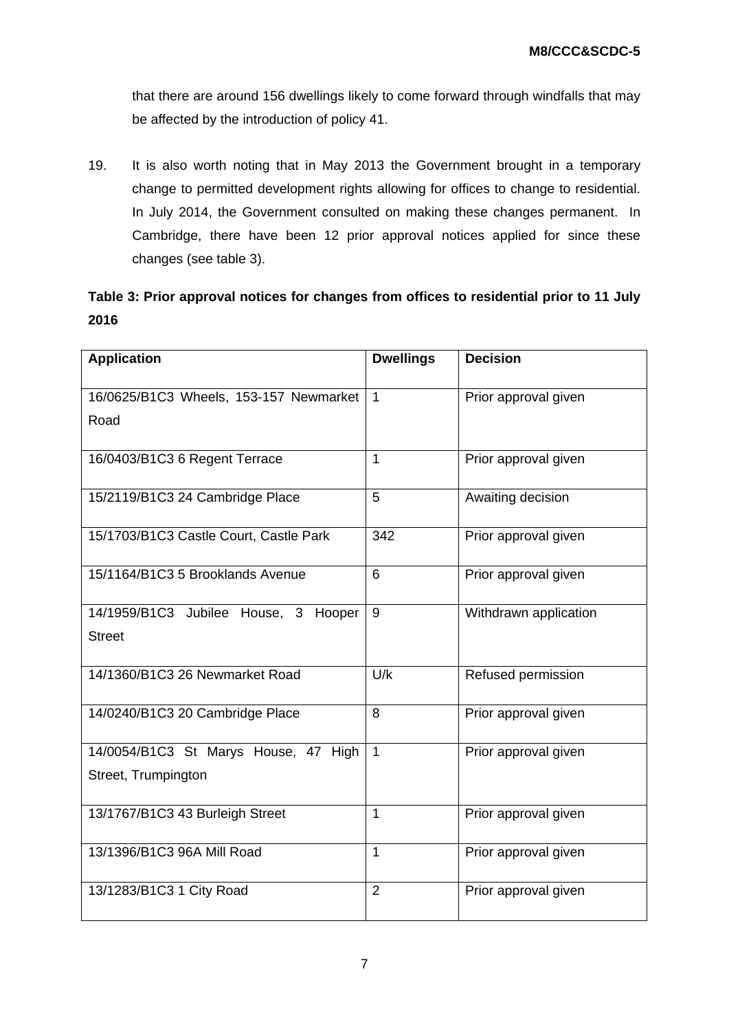that there are around 156 dwellings likely to come forward through windfalls that may be affected by the introduction of policy 41.

19. It is also worth noting that in May 2013 the Government brought in a temporary change to permitted development rights allowing for offices to change to residential. In July 2014, the Government consulted on making these changes permanent. In Cambridge, there have been 12 prior approval notices applied for since these changes (see table 3).

|      | Table 3: Prior approval notices for changes from offices to residential prior to 11 July |  |  |
|------|------------------------------------------------------------------------------------------|--|--|
| 2016 |                                                                                          |  |  |

| <b>Application</b>                                          | <b>Dwellings</b> | <b>Decision</b>       |
|-------------------------------------------------------------|------------------|-----------------------|
| 16/0625/B1C3 Wheels, 153-157 Newmarket<br>Road              | $\mathbf{1}$     | Prior approval given  |
| 16/0403/B1C3 6 Regent Terrace                               | $\mathbf{1}$     | Prior approval given  |
| 15/2119/B1C3 24 Cambridge Place                             | 5                | Awaiting decision     |
| 15/1703/B1C3 Castle Court, Castle Park                      | 342              | Prior approval given  |
| 15/1164/B1C3 5 Brooklands Avenue                            | 6                | Prior approval given  |
| 14/1959/B1C3 Jubilee House, 3<br>Hooper<br><b>Street</b>    | 9                | Withdrawn application |
| 14/1360/B1C3 26 Newmarket Road                              | U/k              | Refused permission    |
| 14/0240/B1C3 20 Cambridge Place                             | 8                | Prior approval given  |
| 14/0054/B1C3 St Marys House, 47 High<br>Street, Trumpington | $\mathbf{1}$     | Prior approval given  |
| 13/1767/B1C3 43 Burleigh Street                             | $\mathbf 1$      | Prior approval given  |
| 13/1396/B1C3 96A Mill Road                                  | $\mathbf{1}$     | Prior approval given  |
| 13/1283/B1C3 1 City Road                                    | $\overline{2}$   | Prior approval given  |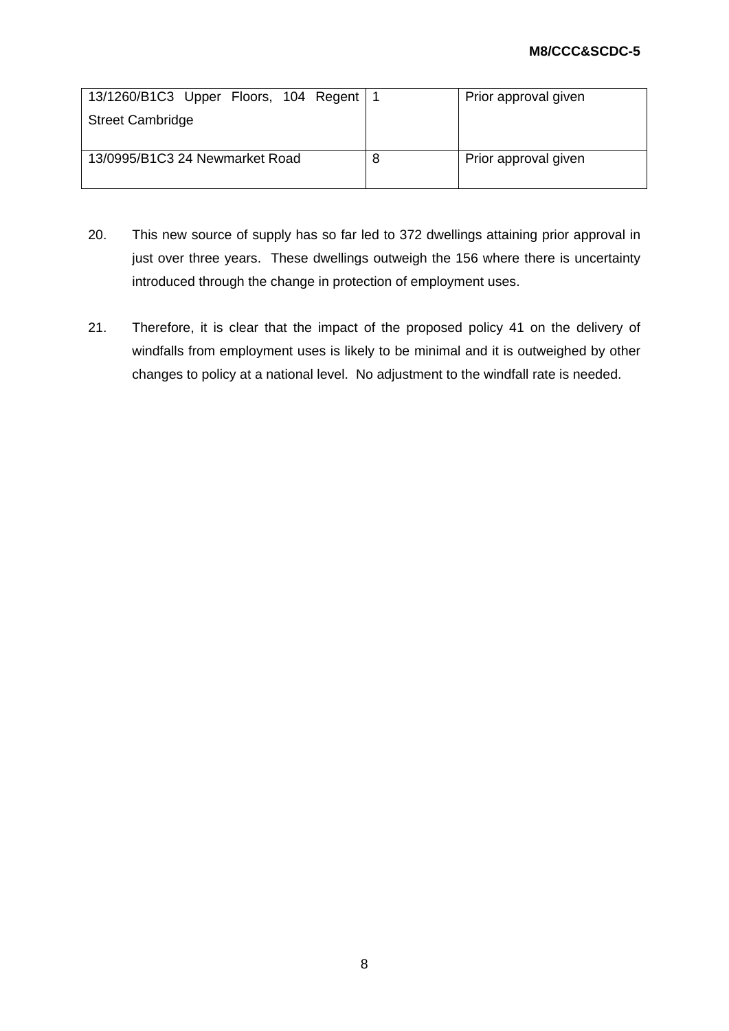| 13/1260/B1C3 Upper Floors, 104 Regent   1 |    | Prior approval given |
|-------------------------------------------|----|----------------------|
| <b>Street Cambridge</b>                   |    |                      |
| 13/0995/B1C3 24 Newmarket Road            | -8 | Prior approval given |

- 20. This new source of supply has so far led to 372 dwellings attaining prior approval in just over three years. These dwellings outweigh the 156 where there is uncertainty introduced through the change in protection of employment uses.
- 21. Therefore, it is clear that the impact of the proposed policy 41 on the delivery of windfalls from employment uses is likely to be minimal and it is outweighed by other changes to policy at a national level. No adjustment to the windfall rate is needed.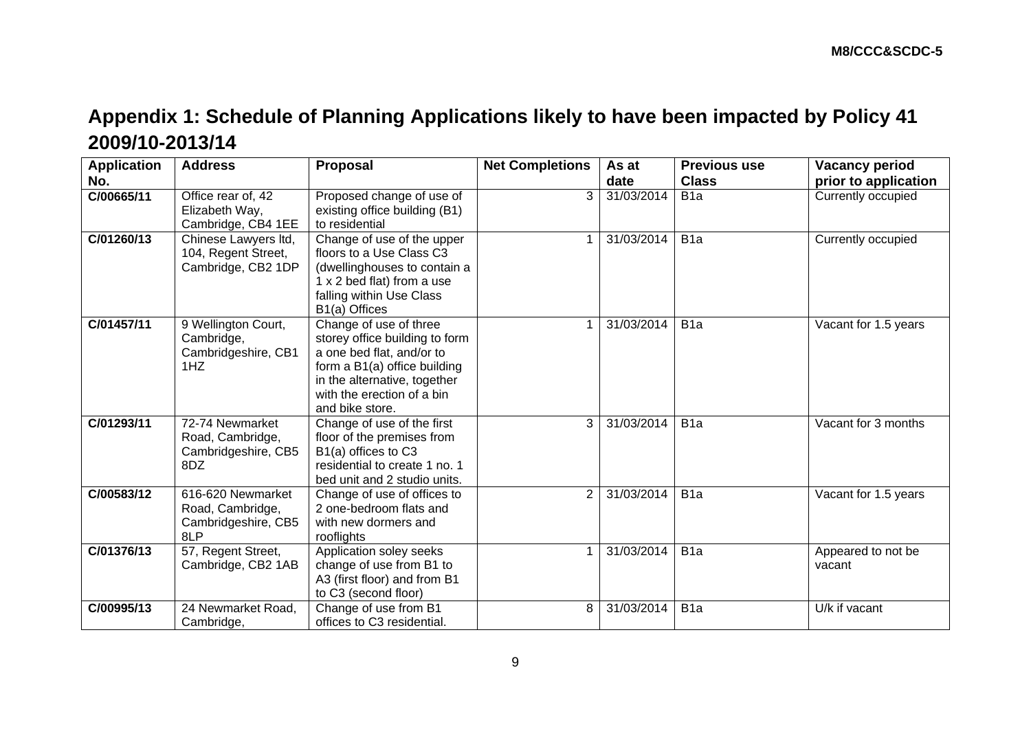# **Appendix 1: Schedule of Planning Applications likely to have been impacted by Policy 41 2009/10-2013/14**

| <b>Application</b> | <b>Address</b>                                                      | Proposal                                                                                                                                                                                               | <b>Net Completions</b> | As at      | <b>Previous use</b> | <b>Vacancy period</b>        |
|--------------------|---------------------------------------------------------------------|--------------------------------------------------------------------------------------------------------------------------------------------------------------------------------------------------------|------------------------|------------|---------------------|------------------------------|
| No.                |                                                                     |                                                                                                                                                                                                        |                        | date       | <b>Class</b>        | prior to application         |
| C/00665/11         | Office rear of, 42<br>Elizabeth Way,<br>Cambridge, CB4 1EE          | Proposed change of use of<br>existing office building (B1)<br>to residential                                                                                                                           | 3                      | 31/03/2014 | B <sub>1</sub> a    | Currently occupied           |
| C/01260/13         | Chinese Lawyers Itd,<br>104, Regent Street,<br>Cambridge, CB2 1DP   | Change of use of the upper<br>floors to a Use Class C3<br>(dwellinghouses to contain a<br>1 x 2 bed flat) from a use<br>falling within Use Class<br>B1(a) Offices                                      |                        | 31/03/2014 | B <sub>1</sub> a    | Currently occupied           |
| C/01457/11         | 9 Wellington Court,<br>Cambridge,<br>Cambridgeshire, CB1<br>1HZ     | Change of use of three<br>storey office building to form<br>a one bed flat, and/or to<br>form a B1(a) office building<br>in the alternative, together<br>with the erection of a bin<br>and bike store. |                        | 31/03/2014 | B <sub>1</sub> a    | Vacant for 1.5 years         |
| C/01293/11         | 72-74 Newmarket<br>Road, Cambridge,<br>Cambridgeshire, CB5<br>8DZ   | Change of use of the first<br>floor of the premises from<br>B1(a) offices to C3<br>residential to create 1 no. 1<br>bed unit and 2 studio units.                                                       | 3                      | 31/03/2014 | B <sub>1</sub> a    | Vacant for 3 months          |
| C/00583/12         | 616-620 Newmarket<br>Road, Cambridge,<br>Cambridgeshire, CB5<br>8LP | Change of use of offices to<br>2 one-bedroom flats and<br>with new dormers and<br>rooflights                                                                                                           | 2                      | 31/03/2014 | B <sub>1</sub> a    | Vacant for 1.5 years         |
| C/01376/13         | 57, Regent Street,<br>Cambridge, CB2 1AB                            | Application soley seeks<br>change of use from B1 to<br>A3 (first floor) and from B1<br>to C3 (second floor)                                                                                            |                        | 31/03/2014 | B <sub>1</sub> a    | Appeared to not be<br>vacant |
| C/00995/13         | 24 Newmarket Road,<br>Cambridge,                                    | Change of use from B1<br>offices to C3 residential.                                                                                                                                                    | 8                      | 31/03/2014 | B <sub>1</sub> a    | U/k if vacant                |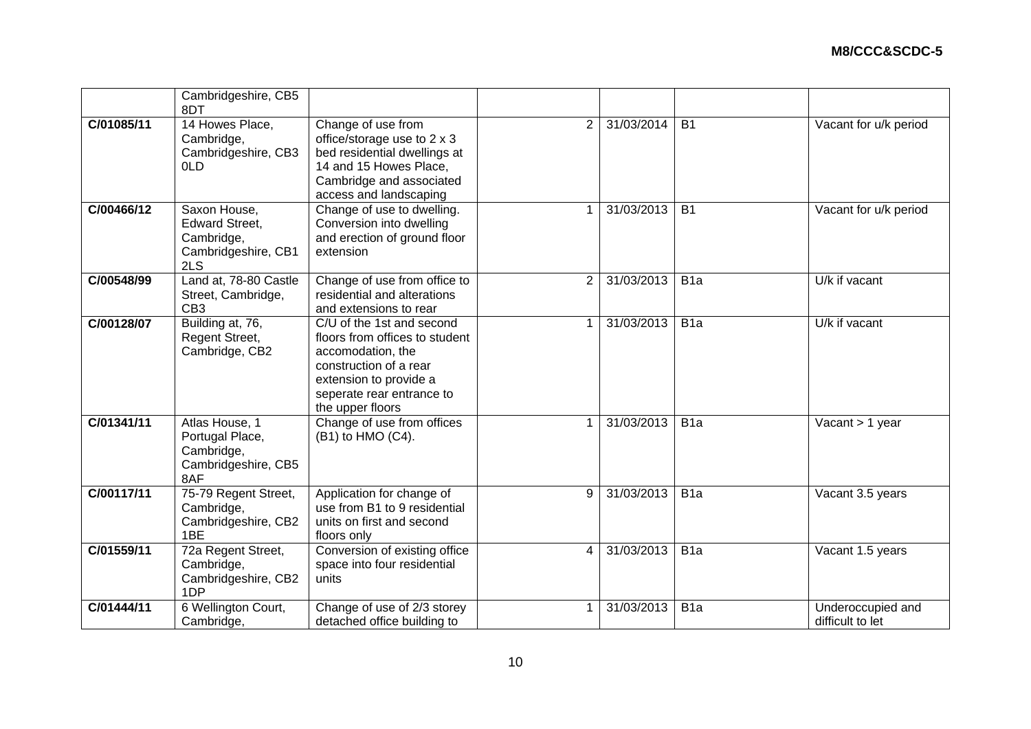|            | Cambridgeshire, CB5<br>8DT                                                        |                                                                                                                                                                                       |                |            |                  |                                       |
|------------|-----------------------------------------------------------------------------------|---------------------------------------------------------------------------------------------------------------------------------------------------------------------------------------|----------------|------------|------------------|---------------------------------------|
| C/01085/11 | 14 Howes Place,<br>Cambridge,<br>Cambridgeshire, CB3<br>0LD                       | Change of use from<br>office/storage use to 2 x 3<br>bed residential dwellings at<br>14 and 15 Howes Place,<br>Cambridge and associated<br>access and landscaping                     | 2              | 31/03/2014 | <b>B1</b>        | Vacant for u/k period                 |
| C/00466/12 | Saxon House,<br><b>Edward Street,</b><br>Cambridge,<br>Cambridgeshire, CB1<br>2LS | Change of use to dwelling.<br>Conversion into dwelling<br>and erection of ground floor<br>extension                                                                                   |                | 31/03/2013 | <b>B1</b>        | Vacant for u/k period                 |
| C/00548/99 | Land at, 78-80 Castle<br>Street, Cambridge,<br>CB <sub>3</sub>                    | Change of use from office to<br>residential and alterations<br>and extensions to rear                                                                                                 | $\overline{2}$ | 31/03/2013 | B <sub>1</sub> a | U/k if vacant                         |
| C/00128/07 | Building at, 76,<br>Regent Street,<br>Cambridge, CB2                              | C/U of the 1st and second<br>floors from offices to student<br>accomodation, the<br>construction of a rear<br>extension to provide a<br>seperate rear entrance to<br>the upper floors | 1              | 31/03/2013 | B <sub>1</sub> a | U/k if vacant                         |
| C/01341/11 | Atlas House, 1<br>Portugal Place,<br>Cambridge,<br>Cambridgeshire, CB5<br>8AF     | Change of use from offices<br>(B1) to HMO (C4).                                                                                                                                       |                | 31/03/2013 | B <sub>1</sub> a | Vacant > 1 year                       |
| C/00117/11 | 75-79 Regent Street,<br>Cambridge,<br>Cambridgeshire, CB2<br>1BE                  | Application for change of<br>use from B1 to 9 residential<br>units on first and second<br>floors only                                                                                 | 9              | 31/03/2013 | B <sub>1</sub> a | Vacant 3.5 years                      |
| C/01559/11 | 72a Regent Street,<br>Cambridge,<br>Cambridgeshire, CB2<br>1DP                    | Conversion of existing office<br>space into four residential<br>units                                                                                                                 | 4              | 31/03/2013 | B <sub>1</sub> a | Vacant 1.5 years                      |
| C/01444/11 | 6 Wellington Court,<br>Cambridge,                                                 | Change of use of 2/3 storey<br>detached office building to                                                                                                                            | -1             | 31/03/2013 | B <sub>1a</sub>  | Underoccupied and<br>difficult to let |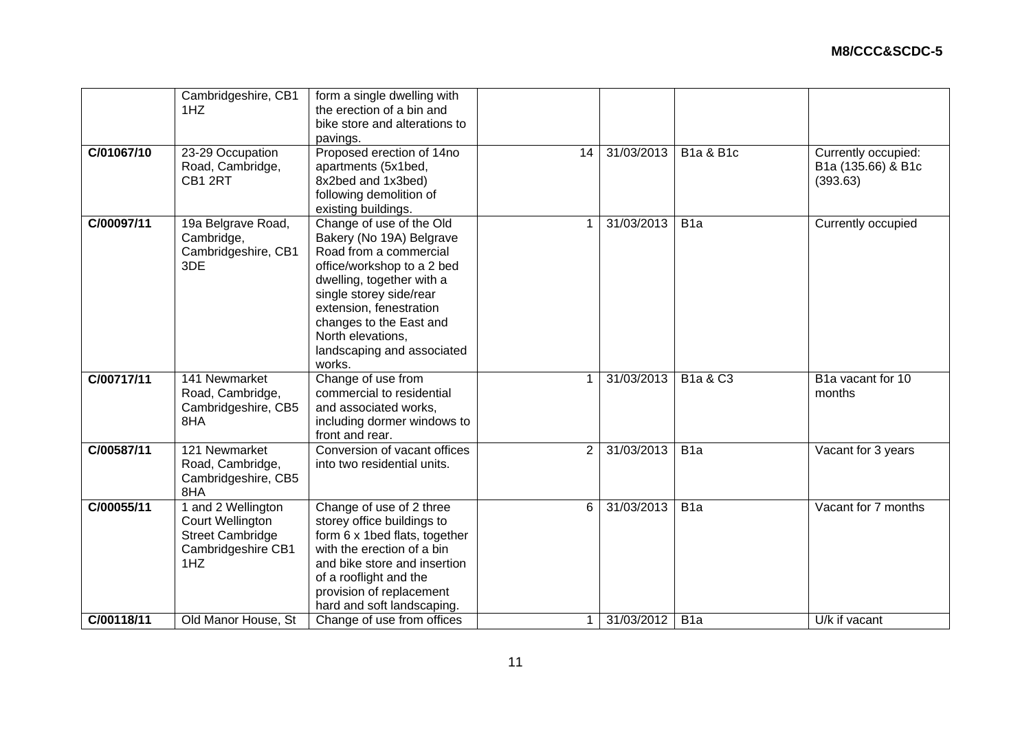| C/01067/10<br>14<br>Road, Cambridge,<br>apartments (5x1bed,<br>CB1 2RT<br>8x2bed and 1x3bed)<br>(393.63)<br>following demolition of<br>existing buildings.<br>C/00097/11<br>Change of use of the Old<br>31/03/2013<br>19a Belgrave Road,<br>B <sub>1</sub> a<br>1<br>Bakery (No 19A) Belgrave<br>Cambridge,<br>Road from a commercial<br>Cambridgeshire, CB1<br>3DE<br>office/workshop to a 2 bed<br>dwelling, together with a<br>single storey side/rear<br>extension, fenestration<br>changes to the East and<br>North elevations,<br>landscaping and associated<br>works.<br>C/00717/11<br>Change of use from<br>141 Newmarket<br>31/03/2013<br>B1a & C3<br>1<br>commercial to residential<br>Road, Cambridge,<br>months<br>Cambridgeshire, CB5<br>and associated works,<br>8HA<br>including dormer windows to<br>front and rear.<br>Conversion of vacant offices<br>C/00587/11<br>121 Newmarket<br>31/03/2013<br>2<br>B <sub>1</sub> a<br>Road, Cambridge,<br>into two residential units. |                  | pavings.                  |            |                      |                                           |
|-----------------------------------------------------------------------------------------------------------------------------------------------------------------------------------------------------------------------------------------------------------------------------------------------------------------------------------------------------------------------------------------------------------------------------------------------------------------------------------------------------------------------------------------------------------------------------------------------------------------------------------------------------------------------------------------------------------------------------------------------------------------------------------------------------------------------------------------------------------------------------------------------------------------------------------------------------------------------------------------------|------------------|---------------------------|------------|----------------------|-------------------------------------------|
|                                                                                                                                                                                                                                                                                                                                                                                                                                                                                                                                                                                                                                                                                                                                                                                                                                                                                                                                                                                               | 23-29 Occupation | Proposed erection of 14no | 31/03/2013 | <b>B1a &amp; B1c</b> | Currently occupied:<br>B1a (135.66) & B1c |
|                                                                                                                                                                                                                                                                                                                                                                                                                                                                                                                                                                                                                                                                                                                                                                                                                                                                                                                                                                                               |                  |                           |            |                      | Currently occupied                        |
|                                                                                                                                                                                                                                                                                                                                                                                                                                                                                                                                                                                                                                                                                                                                                                                                                                                                                                                                                                                               |                  |                           |            |                      | B1a vacant for 10                         |
| Cambridgeshire, CB5<br>8HA                                                                                                                                                                                                                                                                                                                                                                                                                                                                                                                                                                                                                                                                                                                                                                                                                                                                                                                                                                    |                  |                           |            |                      | Vacant for 3 years                        |
| Change of use of 2 three<br>31/03/2013<br>1 and 2 Wellington<br>B <sub>1a</sub><br>C/00055/11<br>6<br>Court Wellington<br>storey office buildings to<br><b>Street Cambridge</b><br>form 6 x 1bed flats, together<br>with the erection of a bin<br>Cambridgeshire CB1<br>1HZ<br>and bike store and insertion<br>of a rooflight and the<br>provision of replacement<br>hard and soft landscaping.<br>C/00118/11<br>Change of use from offices<br>31/03/2012<br>U/k if vacant<br>Old Manor House, St<br>B <sub>1</sub> a                                                                                                                                                                                                                                                                                                                                                                                                                                                                         |                  |                           |            |                      | Vacant for 7 months                       |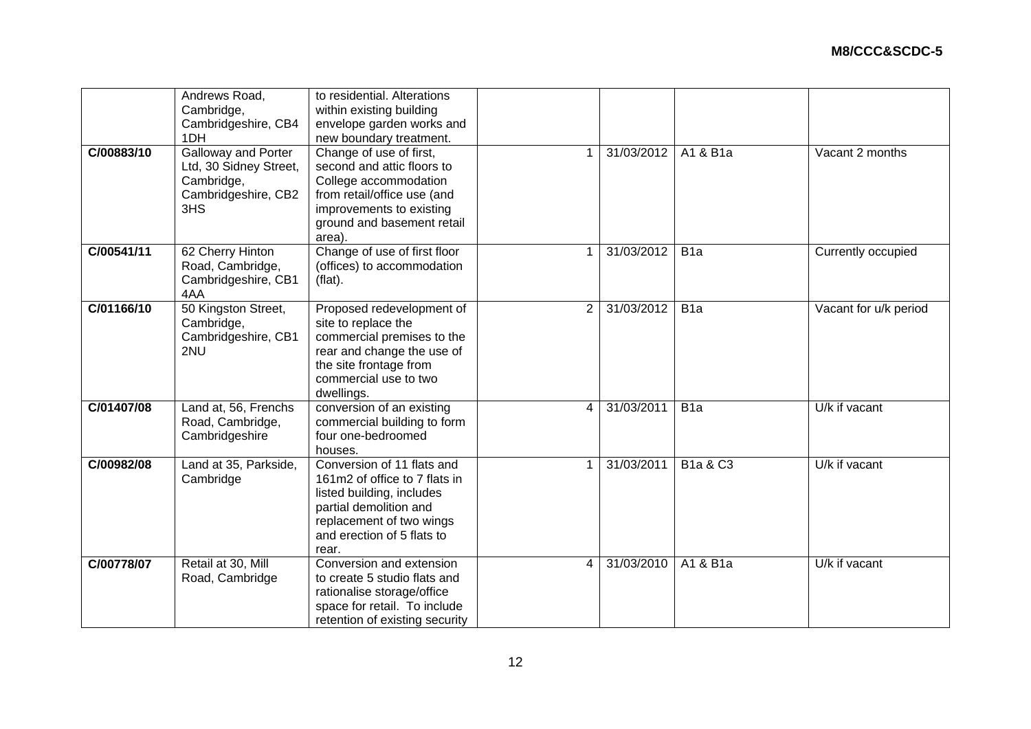|            | Andrews Road,              | to residential. Alterations    |                |            |                       |                       |
|------------|----------------------------|--------------------------------|----------------|------------|-----------------------|-----------------------|
|            | Cambridge,                 | within existing building       |                |            |                       |                       |
|            | Cambridgeshire, CB4        | envelope garden works and      |                |            |                       |                       |
|            | 1DH                        | new boundary treatment.        |                |            |                       |                       |
| C/00883/10 | <b>Galloway and Porter</b> | Change of use of first,        |                | 31/03/2012 | A1 & $B\overline{1a}$ | Vacant 2 months       |
|            | Ltd, 30 Sidney Street,     | second and attic floors to     |                |            |                       |                       |
|            | Cambridge,                 | College accommodation          |                |            |                       |                       |
|            | Cambridgeshire, CB2        | from retail/office use (and    |                |            |                       |                       |
|            | 3HS                        | improvements to existing       |                |            |                       |                       |
|            |                            | ground and basement retail     |                |            |                       |                       |
|            |                            | area).                         |                |            |                       |                       |
| C/00541/11 | 62 Cherry Hinton           | Change of use of first floor   |                | 31/03/2012 | B <sub>1a</sub>       | Currently occupied    |
|            | Road, Cambridge,           | (offices) to accommodation     |                |            |                       |                       |
|            | Cambridgeshire, CB1        | (flat).                        |                |            |                       |                       |
|            | 4AA                        |                                |                |            |                       |                       |
| C/01166/10 | 50 Kingston Street,        |                                | $\overline{2}$ | 31/03/2012 | B <sub>1a</sub>       |                       |
|            |                            | Proposed redevelopment of      |                |            |                       | Vacant for u/k period |
|            | Cambridge,                 | site to replace the            |                |            |                       |                       |
|            | Cambridgeshire, CB1        | commercial premises to the     |                |            |                       |                       |
|            | 2NU                        | rear and change the use of     |                |            |                       |                       |
|            |                            | the site frontage from         |                |            |                       |                       |
|            |                            | commercial use to two          |                |            |                       |                       |
|            |                            | dwellings.                     |                |            |                       |                       |
| C/01407/08 | Land at, 56, Frenchs       | conversion of an existing      | 4              | 31/03/2011 | B <sub>1</sub> a      | U/k if vacant         |
|            | Road, Cambridge,           | commercial building to form    |                |            |                       |                       |
|            | Cambridgeshire             | four one-bedroomed             |                |            |                       |                       |
|            |                            | houses.                        |                |            |                       |                       |
| C/00982/08 | Land at 35, Parkside,      | Conversion of 11 flats and     | -1             | 31/03/2011 | <b>B1a &amp; C3</b>   | U/k if vacant         |
|            | Cambridge                  | 161m2 of office to 7 flats in  |                |            |                       |                       |
|            |                            | listed building, includes      |                |            |                       |                       |
|            |                            | partial demolition and         |                |            |                       |                       |
|            |                            | replacement of two wings       |                |            |                       |                       |
|            |                            | and erection of 5 flats to     |                |            |                       |                       |
|            |                            | rear.                          |                |            |                       |                       |
| C/00778/07 | Retail at 30, Mill         | Conversion and extension       | 4              | 31/03/2010 | A1 & B1a              | U/k if vacant         |
|            | Road, Cambridge            | to create 5 studio flats and   |                |            |                       |                       |
|            |                            | rationalise storage/office     |                |            |                       |                       |
|            |                            | space for retail. To include   |                |            |                       |                       |
|            |                            | retention of existing security |                |            |                       |                       |
|            |                            |                                |                |            |                       |                       |